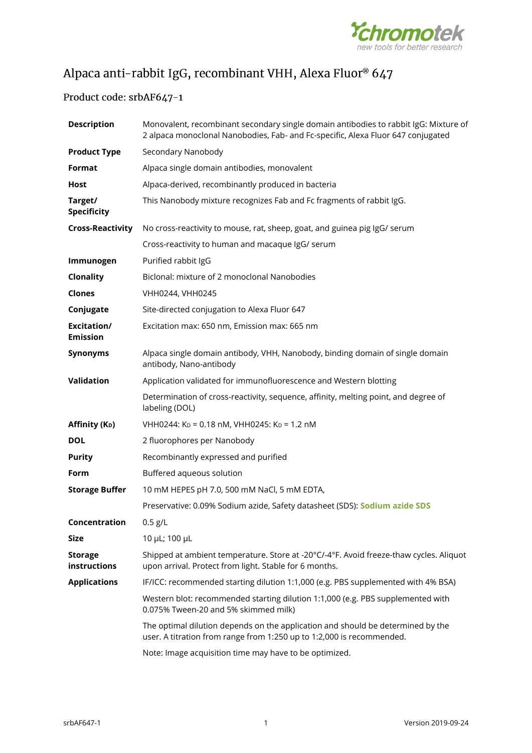

# Alpaca anti-rabbit IgG, recombinant VHH, Alexa Fluor® 647

## Product code: srbAF647-1

| <b>Description</b>             | Monovalent, recombinant secondary single domain antibodies to rabbit IgG: Mixture of<br>2 alpaca monoclonal Nanobodies, Fab- and Fc-specific, Alexa Fluor 647 conjugated |
|--------------------------------|--------------------------------------------------------------------------------------------------------------------------------------------------------------------------|
| <b>Product Type</b>            | Secondary Nanobody                                                                                                                                                       |
| Format                         | Alpaca single domain antibodies, monovalent                                                                                                                              |
| Host                           | Alpaca-derived, recombinantly produced in bacteria                                                                                                                       |
| Target/<br><b>Specificity</b>  | This Nanobody mixture recognizes Fab and Fc fragments of rabbit IgG.                                                                                                     |
| <b>Cross-Reactivity</b>        | No cross-reactivity to mouse, rat, sheep, goat, and guinea pig IgG/ serum                                                                                                |
|                                | Cross-reactivity to human and macaque IgG/ serum                                                                                                                         |
| Immunogen                      | Purified rabbit IgG                                                                                                                                                      |
| Clonality                      | Biclonal: mixture of 2 monoclonal Nanobodies                                                                                                                             |
| <b>Clones</b>                  | VHH0244, VHH0245                                                                                                                                                         |
| Conjugate                      | Site-directed conjugation to Alexa Fluor 647                                                                                                                             |
| Excitation/<br><b>Emission</b> | Excitation max: 650 nm, Emission max: 665 nm                                                                                                                             |
| <b>Synonyms</b>                | Alpaca single domain antibody, VHH, Nanobody, binding domain of single domain<br>antibody, Nano-antibody                                                                 |
| Validation                     | Application validated for immunofluorescence and Western blotting                                                                                                        |
|                                | Determination of cross-reactivity, sequence, affinity, melting point, and degree of<br>labeling (DOL)                                                                    |
| Affinity (K <sub>D</sub> )     | VHH0244: K <sub>D</sub> = 0.18 nM, VHH0245: K <sub>D</sub> = 1.2 nM                                                                                                      |
| <b>DOL</b>                     | 2 fluorophores per Nanobody                                                                                                                                              |
| <b>Purity</b>                  | Recombinantly expressed and purified                                                                                                                                     |
| Form                           | Buffered aqueous solution                                                                                                                                                |
| <b>Storage Buffer</b>          | 10 mM HEPES pH 7.0, 500 mM NaCl, 5 mM EDTA,                                                                                                                              |
|                                | Preservative: 0.09% Sodium azide, Safety datasheet (SDS): Sodium azide SDS                                                                                               |
| Concentration                  | $0.5$ g/L                                                                                                                                                                |
| <b>Size</b>                    | 10 µL; 100 µL                                                                                                                                                            |
| <b>Storage</b><br>instructions | Shipped at ambient temperature. Store at -20°C/-4°F. Avoid freeze-thaw cycles. Aliquot<br>upon arrival. Protect from light. Stable for 6 months.                         |
| <b>Applications</b>            | IF/ICC: recommended starting dilution 1:1,000 (e.g. PBS supplemented with 4% BSA)                                                                                        |
|                                | Western blot: recommended starting dilution 1:1,000 (e.g. PBS supplemented with<br>0.075% Tween-20 and 5% skimmed milk)                                                  |
|                                | The optimal dilution depends on the application and should be determined by the<br>user. A titration from range from 1:250 up to 1:2,000 is recommended.                 |
|                                | Note: Image acquisition time may have to be optimized.                                                                                                                   |